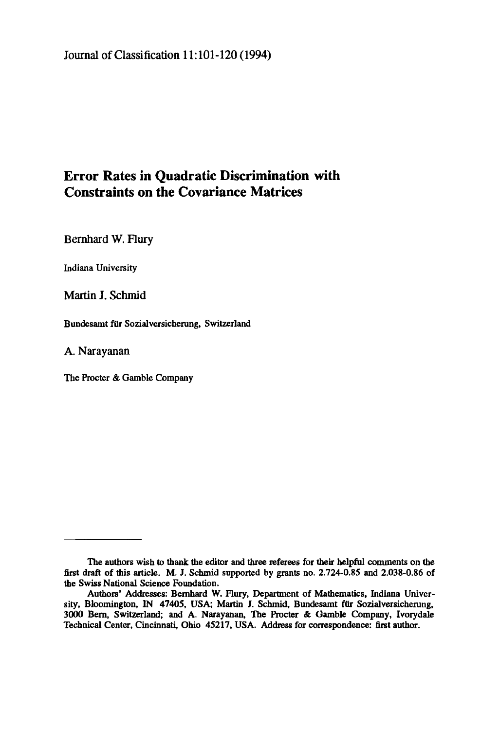## Journal of Classification 11:101-120 (1994)

# **Error Rates in Quadratic Discrimination with Constraints on the Covariance Matrices**

Bernhard W. Flury

Indiana University

Martin J. Schmid

Bundesamt für Sozialversicherung, Switzerland

**A. Narayanan** 

The Procter & Gamble Company

The authors wish to thank the editor and three referees for their helpful comments on the **first** draft of this article. M. J. Schmid supported by grants no. 2.724-0.85 and 2.038-0.86 of the Swiss National Science Foundation.

Authors' Addresses: Bernhard W. Flury, Department of Mathematics, Indiana University, Bloomington, IN 47405, USA; Martin J. Schmid, Bundesamt für Sozialversicherung, 3000 Bern, Switzerland; and A. Narayanan, The Procter & Gamble Company, Ivorydale Technical Center, Cincinnati, Ohio 45217, USA. Address for correspondence: first author.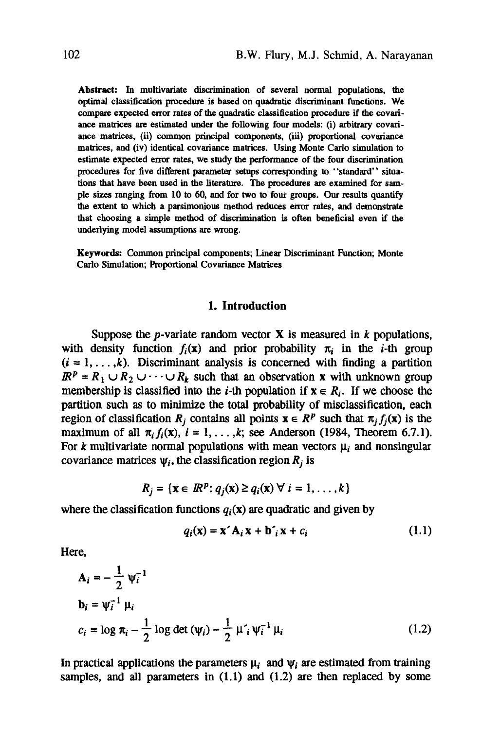**Abstract:** In multivariate discrimination of several normal populations, the optimal classification procedure is based on quadratic discriminant functions. We compare expected error rates of the quadratic classification procedure if the covariance matrices are estimated under the following four models: (i) arbitrary covariance matrices, (ii) common principal components, (iii) proportional covariance matrices, and (iv) identical covariance matrices. Using Monte Carlo simulation to estimate expected error rates, we study the performance of the four discrimination procedures for five different parameter setups corresponding to "standard" situations that have been used in the literature. The procedures are examined for sample sizes ranging from 10 to 60, and for two to four groups. Our results quantify the extent to which a parsimonious method reduces error rates, and demonstrate that choosing a simple method of discrimination is often beneficial even if the underlying model assumptions ate wrong.

Keywords: Common principal components; Linear Discriminant Function; Monte Carlo Simulation; Proportional Covariance Matrices

#### **1. Introduction**

Suppose the *p*-variate random vector  $X$  is measured in  $k$  populations, with density function  $f_i(x)$  and prior probability  $\pi_i$  in the *i*-th group  $(i = 1, \ldots, k)$ . Discriminant analysis is concerned with finding a partition  $\mathbb{R}^p = R_1 \cup R_2 \cup \cdots \cup R_k$  such that an observation x with unknown group membership is classified into the *i*-th population if  $x \in R_i$ . If we choose the partition such as to minimize the total probability of misclassification, each region of classification  $R_i$  contains all points  $x \in R^p$  such that  $\pi_i f_i(x)$  is the maximum of all  $\pi_i f_i(x)$ ,  $i = 1, \ldots, k$ ; see Anderson (1984, Theorem 6.7.1). For k multivariate normal populations with mean vectors  $\mu_i$  and nonsingular covariance matrices  $\psi_i$ , the classification region  $R_i$  is

$$
R_j = \{ \mathbf{x} \in \mathbb{R}^p : q_j(\mathbf{x}) \ge q_i(\mathbf{x}) \ \forall \ i = 1, \dots, k \}
$$

where the classification functions  $q_i(x)$  are quadratic and given by

$$
q_i(\mathbf{x}) = \mathbf{x}' \mathbf{A}_i \mathbf{x} + \mathbf{b}'_i \mathbf{x} + c_i
$$
 (1.1)

Here,

$$
\mathbf{A}_{i} = -\frac{1}{2} \psi_{i}^{-1}
$$
\n
$$
\mathbf{b}_{i} = \psi_{i}^{-1} \mu_{i}
$$
\n
$$
c_{i} = \log \pi_{i} - \frac{1}{2} \log \det (\psi_{i}) - \frac{1}{2} \mu'_{i} \psi_{i}^{-1} \mu_{i}
$$
\n(1.2)

In practical applications the parameters  $\mu_i$  and  $\psi_i$  are estimated from training samples, and all parameters in  $(1.1)$  and  $(1.2)$  are then replaced by some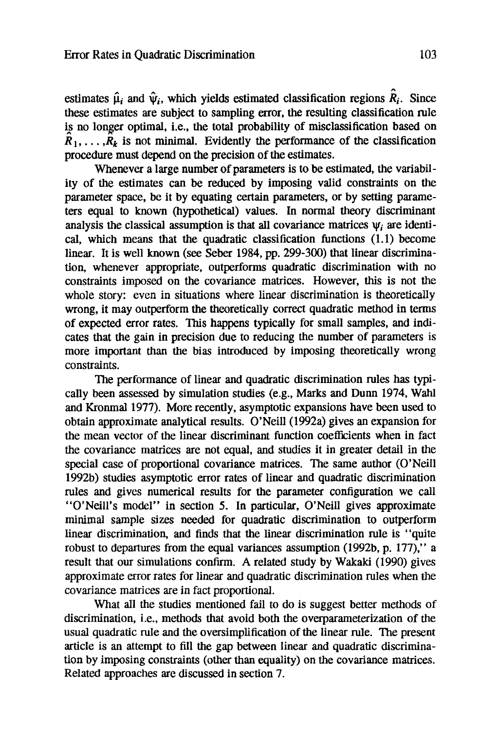estimates  $\hat{\mu}_i$  and  $\hat{\nu}_i$ , which yields estimated classification regions  $\hat{R}_i$ . Since these estimates are subject to sampling error, the resulting classification rule is no longer optimal, i.e., the total probability of misclassification based on  $\hat{R}_1, \ldots, \hat{R}_k$  is not minimal. Evidently the performance of the classification procedure must depend on the precision of the estimates.

Whenever a large number of parameters is to be estimated, the variability of the estimates can be reduced by imposing valid constraints on the parameter space, be it by equating certain parameters, or by setting parameters equal to known (hypothetical) values. In normal theory discriminant analysis the classical assumption is that all covariance matrices  $\psi_i$  are identical, which means that the quadratic classification functions (1.1) become linear. It is well known (see Seber 1984, pp. 299-300) that linear discrimination, whenever appropriate, outperforms quadratic discrimination with no constraints imposed on the covariance matrices. However, this is not the whole story: even in situations where linear discrimination is theoretically wrong, it may outperform the theoretically correct quadratic method in terms of expected error rates. This happens typically for small samples, and indicates that the gain in precision due to reducing the number of parameters is more important than the bias introduced by imposing theoretically wrong constraints.

The performance of linear and quadratic discrimination rules has typically been assessed by simulation studies (e.g., Marks and Dunn 1974, Wahl and Kronmal 1977). More recently, asymptotic expansions have been used to obtain approximate analytical results. O'Neill (1992a) gives an expansion for the mean vector of the linear discriminant function coefficients when in fact the covariance matrices are not equal, and studies it in greater detail in the special case of proportional covariance matrices. The same author (O'Neill 1992b) studies asymptotic error rates of linear and quadratic discrimination rules and gives numerical results for the parameter configuration we call "O'Neill's model" in section 5. In particular, O'Neill gives approximate minimal sample sizes needed for quadratic discrimination to outperform linear discrimination, and finds that the linear discrimination rule is "quite robust to departures from the equal variances assumption (1992b, p. 177)," a result that our simulations confirm. A related study by Wakaki (1990) gives approximate error rates for linear and quadratic discrimination rules when the covariance matrices are in fact proportional.

What all the studies mentioned fail to do is suggest better methods of discrimination, i.e., methods that avoid both the overparameterization of the usual quadratic rule and the oversimplification of the linear rule. The present article is an attempt to fill the gap between linear and quadratic discrimination by imposing constraints (other than equality) on the covariance matrices. Related approaches are discussed in section 7.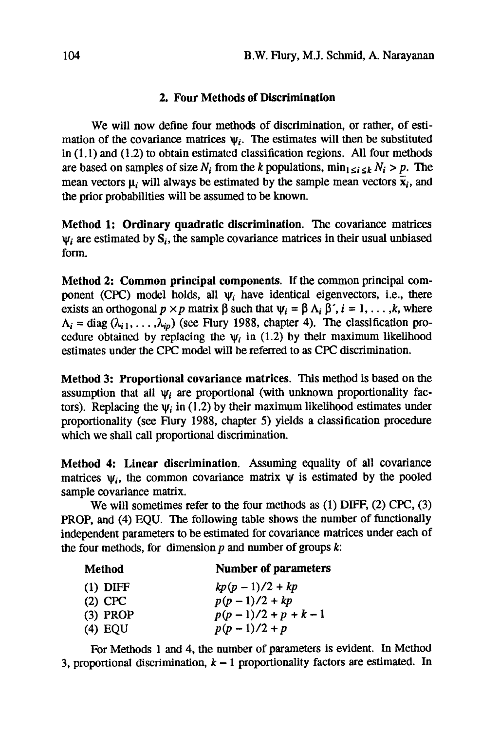## **2. Four Methods of Discrimination**

We will now define four methods of discrimination, or rather, of estimation of the covariance matrices  $\psi_i$ . The estimates will then be substituted in (1.1) and (1.2) to obtain estimated classification regions. All four methods are based on samples of size  $N_i$  from the k populations,  $\min_{1 \leq i \leq k} N_i > p$ . The mean vectors  $\mu_i$  will always be estimated by the sample mean vectors  $\bar{\mathbf{x}}_i$ , and the prior probabilities will be assumed to be known.

**Method** 1: Ordinary **quadratic discrimination.** The covariance matrices  $\psi_i$  are estimated by  $S_i$ , the sample covariance matrices in their usual unbiased form.

**Method 2: Common principal components.** If the common principal component (CPC) model holds, all  $\psi_i$  have identical eigenvectors, i.e., there exists an orthogonal  $p \times p$  matrix  $\beta$  such that  $\Psi_i = \beta \Lambda_i \beta'$ ,  $i = 1, \ldots, k$ , where  $\Lambda_i = \text{diag}(\lambda_{i1}, \ldots, \lambda_{in})$  (see Flury 1988, chapter 4). The classification procedure obtained by replacing the  $\psi_i$  in (1.2) by their maximum likelihood estimates under the CPC model will be referred to as CPC discrimination.

**Method** 3: Proportional **covariance matrices.** This method is based on the assumption that all  $\psi_i$  are proportional (with unknown proportionality factors). Replacing the  $\psi_i$  in (1.2) by their maximum likelihood estimates under proportionality (see Flury 1988, chapter 5) yields a classification procedure which we shall call proportional discrimination.

**Method 4: Linear discrimination.** Assuming equality of all covariance matrices  $\psi_i$ , the common covariance matrix  $\psi$  is estimated by the pooled sample covariance matrix.

We will sometimes refer to the four methods as (1) DIFF, (2) CPC, (3) PROP, and (4) EQU. The following table shows the number of functionally independent parameters to be estimated for covariance matrices under each of the four methods, for dimension  $p$  and number of groups  $k$ :

| Method     | <b>Number of parameters</b> |
|------------|-----------------------------|
| $(1)$ DIFF | $kp(p-1)/2 + kp$            |
| $(2)$ CPC  | $p(p-1)/2 + kp$             |
| $(3)$ PROP | $p(p-1)/2 + p + k - 1$      |
| $(4)$ EQU  | $p(p-1)/2 + p$              |

For Methods 1 and 4, the number of parameters is evident. In Method 3, proportional discrimination,  $k - 1$  proportionality factors are estimated. In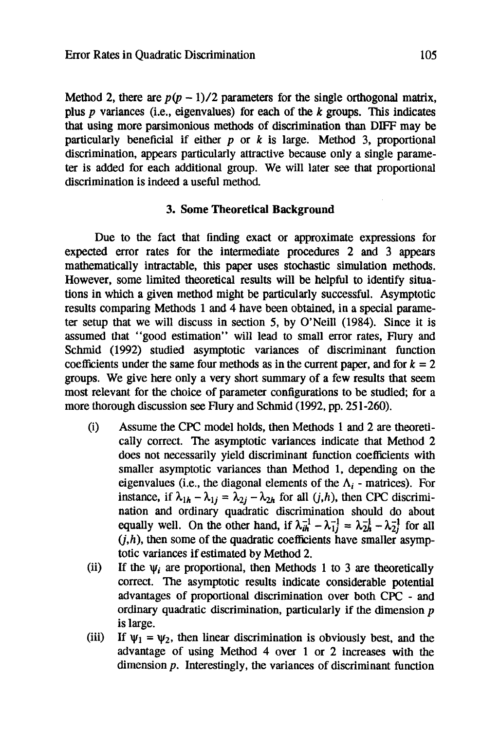Method 2, there are  $p(p-1)/2$  parameters for the single orthogonal matrix, plus p variances (i.e., eigenvalues) for each of the  $k$  groups. This indicates that using more parsimonious methods of discrimination than DIFF may be particularly beneficial if either  $p$  or  $k$  is large. Method 3, proportional discrimination, appears particularly attractive because only a single parameter is added for each additional group. We will later see that proportional discrimination is indeed a useful method.

#### **3. Some Theoretical Background**

Due to the fact that finding exact or approximate expressions for expected error rates for the intermediate procedures 2 and 3 appears mathematically intractable, this paper uses stochastic simulation methods. However, some limited theoretical results will be helpful to identify situations in which a given method might be particularly successful. Asymptotic results comparing Methods 1 and 4 have been obtained, in a special parameter setup that we will discuss in section 5, by O'Neill (1984). Since it is assumed that "good estimation" will lead to small error rates, Flury and Schmid (1992) studied asymptotic variances of discriminant function coefficients under the same four methods as in the current paper, and for  $k = 2$ groups. We give here only a very short summary of a few results that seem most relevant for the choice of parameter configurations to be studied; for a more thorough discussion see Flury and Schmid (1992, pp. 251-260).

- (i) Assume the CPC model holds, then Methods 1 and 2 are theoretically correct. The asymptotic variances indicate that Method 2 does not necessarily yield discriminant function coefficients with smaller asymptotic variances than Method 1, depending on the eigenvalues (i.e., the diagonal elements of the  $\Lambda_i$  - matrices). For instance, if  $\lambda_{1h} - \lambda_{1j} = \lambda_{2j} - \lambda_{2h}$  for all  $(j,h)$ , then CPC discrimination and ordinary quadratic discrimination should do about equally well. On the other hand, if  $\lambda_{ih}^{-1} - \lambda_{1i}^{-1} = \lambda_{2h}^{-1} - \lambda_{2i}^{-1}$  for all  $(j,h)$ , then some of the quadratic coefficients have smaller asymptotic variances if estimated by Method 2.
- (ii) If the  $\psi_i$  are proportional, then Methods 1 to 3 are theoretically correct. The asymptotic results indicate considerable potential advantages of proportional discrimination over both CPC - and ordinary quadratic discrimination, particularly if the dimension  $p$ is large.
- (iii) If  $\psi_1 = \psi_2$ , then linear discrimination is obviously best, and the advantage of using Method 4 over 1 or 2 increases with the dimension p. Interestingly, the variances of discriminant function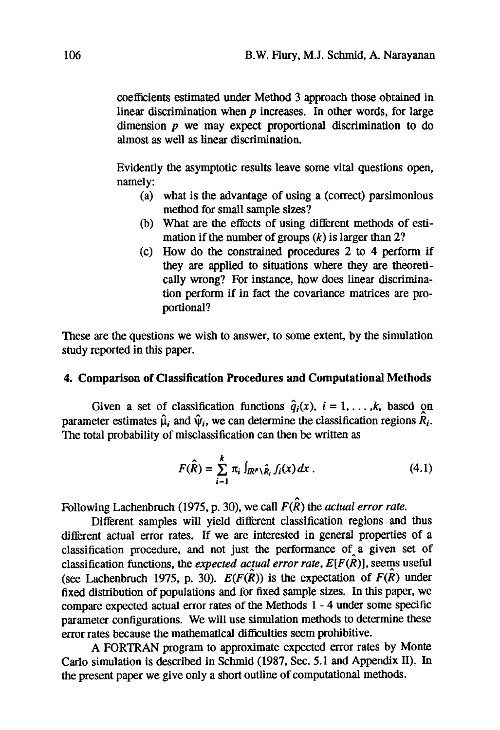coefficients estimated under Method 3 approach those obtained in linear discrimination when  $p$  increases. In other words, for large dimension  $p$  we may expect proportional discrimination to do almost as well as linear discrimination.

Evidently the asymptotic results leave some vital questions open, namely:

- (a) what is the advantage of using a (correct) parsimonious method for small sample sizes?
- (b) What are the effects of using different methods of estimation if the number of groups  $(k)$  is larger than 2?
- (c) How do the constrained procedures 2 to 4 perform if they are applied to situations where they are theoretically wrong? For instance, how does linear discrimination perform if in fact the covariance matrices are proportional?

These are the questions we wish to answer, to some extent, by the simulation study reported in this paper.

#### **4. Comparison of Classification Procedures and Computational Methods**

Given a set of classification functions  $\hat{q}_i(x)$ ,  $i = 1, \ldots, k$ , based on parameter estimates  $\hat{\mu}_i$  and  $\hat{\psi}_i$ , we can determine the classification regions  $\hat{R}_i$ . The total probability of misclassification can then be written as

$$
F(\hat{R}) = \sum_{i=1}^{k} \pi_i \int_{I\!\!R^{p} \setminus \hat{R}_i} f_i(x) dx.
$$
 (4.1)

Following Lachenbruch (1975, p. 30), we call  $F(\hat{R})$  the *actual error rate*.

Different samples will yield different classification regions and thus different actual error rates. If we are interested in general properties of a classification procedure, and not just the performance of a given set of classification functions, the *expected actual error rate*,  $E[F(\hat{R})]$ , seems useful (see Lachenbruch 1975, p. 30).  $E(F(\hat{R}))$  is the expectation of  $F(\hat{R})$  under fixed distribution of populations and for fixed sample sizes. In this paper, we compare expected actual error rates of the Methods 1 - 4 under some specific parameter configurations. We will use simulation methods to determine these error rates because the mathematical difficulties seem prohibitive.

A FORTRAN program to approximate expected error rates by Monte Carlo simulation is described in Schmid (1987, Sec. 5.1 and Appendix II). In the present paper we give only a short outline of computational methods.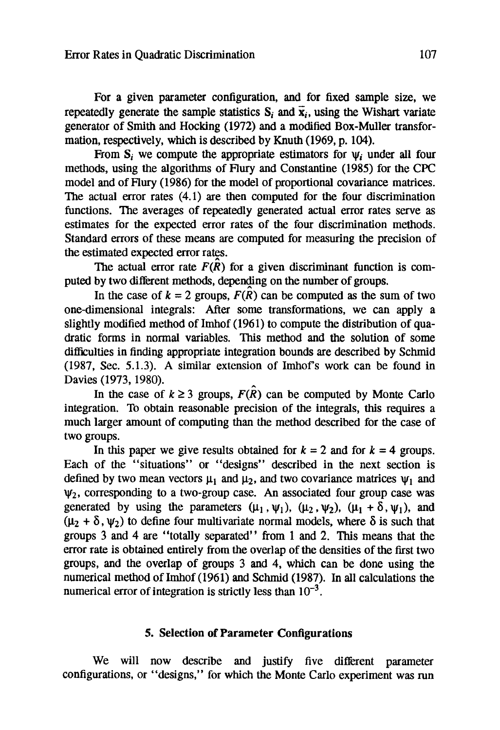For a given parameter configuration, and for fixed sample size, we repeatedly generate the sample statistics  $S_i$  and  $\vec{x}_i$ , using the Wishart variate generator of Smith and Hocking (1972) and a modified Box-Muller transformation, respectively, which is described by Knuth (1969, p. 104).

From S<sub>i</sub> we compute the appropriate estimators for  $\psi_i$  under all four methods, using the algorithms of Flury and Constantine (1985) for the CPC model and of Flury (1986) for the model of proportional covariance matrices. The actual error rates (4.1) are then computed for the four discrimination functions. The averages of repeatedly generated actual error rates serve as estimates for the expected error rates of the four discrimination methods. Standard errors of these means are computed for measuring the precision of the estimated expected error rates.

The actual error rate  $F(\hat{R})$  for a given discriminant function is computed by two different methods, depending on the number of groups.

In the case of  $k = 2$  groups,  $F(\hat{R})$  can be computed as the sum of two one-dimensional integrals: After some transformations, we can apply a slightly modified method of Imhof (1961) to compute the distribution of quadratic forms in normal variables. This method and the solution of some difficulties in finding appropriate integration bounds are described by Schmid (1987, Sec. 5.1.3). A similar extension of Imhof's work can be found in Davies (1973, 1980).

In the case of  $k \ge 3$  groups,  $F(\hat{R})$  can be computed by Monte Carlo integration. To obtain reasonable precision of the integrals, this requires a much larger amount of computing than the method described for the case of two groups.

In this paper we give results obtained for  $k = 2$  and for  $k = 4$  groups. Each of the "situations" or "designs" described in the next section is defined by two mean vectors  $\mu_1$  and  $\mu_2$ , and two covariance matrices  $\psi_1$  and  $\Psi_2$ , corresponding to a two-group case. An associated four group case was generated by using the parameters  $(\mu_1, \psi_1)$ ,  $(\mu_2, \psi_2)$ ,  $(\mu_1 + \delta, \psi_1)$ , and  $(\mu_2 + \delta, \psi_2)$  to define four multivariate normal models, where  $\delta$  is such that groups 3 and 4 are "totally separated" from 1 and 2. This means that the error rate is obtained entirely from the overlap of the densities of the first two groups, and the overlap of groups 3 and 4, which can be done using the numerical method of Imhof (1961) and Schmid (1987). In all calculations the numerical error of integration is strictly less than  $10^{-3}$ .

## **5. Selection of Parameter Configurations**

We will now describe and justify five different parameter configurations, or "designs," for which the Monte Carlo experiment was run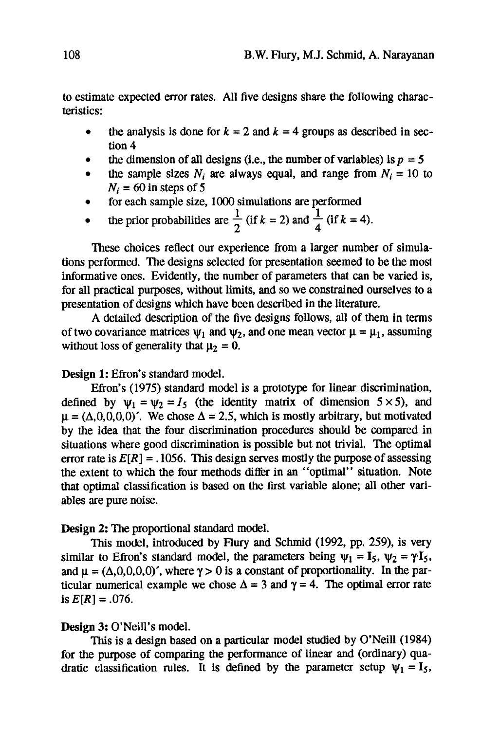to estimate expected error rates. All five designs share the following characteristics:

- the analysis is done for  $k = 2$  and  $k = 4$  groups as described in section 4
- the dimension of all designs (i.e., the number of variables) is  $p = 5$
- $\bullet$  the sample sizes  $N_i$  are always equal, and range from  $N_i = 10$  to  $N_i = 60$  in steps of 5
- 9 for each sample size, 1000 simulations are performed
- the prior probabilities are  $\frac{1}{2}$  (if  $k = 2$ ) and  $\frac{1}{4}$  (if  $k = 4$ ).

These choices reflect our experience from a larger number of simulations performed. The designs selected for presentation seemed to be the most informative ones. Evidently, the number of parameters that can be varied is, for all practical purposes, without limits, and so we constrained ourselves to a presentation of designs which have been described in the literature.

A detailed description of the five designs follows, all of them in terms of two covariance matrices  $\psi_1$  and  $\psi_2$ , and one mean vector  $\mu = \mu_1$ , assuming without loss of generality that  $\mu_2 = 0$ .

#### **Design** 1: Efron's standard model.

Efron's (1975) standard model is a prototype for linear discrimination, defined by  $\psi_1 = \psi_2 = I_5$  (the identity matrix of dimension  $5 \times 5$ ), and  $\mu = (\Delta, 0, 0, 0, 0)$ . We chose  $\Delta = 2.5$ , which is mostly arbitrary, but motivated by the idea that the four discrimination procedures should be compared in situations where good discrimination is possible but not trivial. The optimal error rate is  $E[R] = .1056$ . This design serves mostly the purpose of assessing the extent to which the four methods differ in an "optimal" situation. Note that optimal classification is based on the first variable alone; all other variables are pure noise.

#### Design 2: The proportional standard model.

This model, introduced by Flury and Schmid (1992, pp. 259), is very similar to Efron's standard model, the parameters being  $\psi_1 = I_5$ ,  $\psi_2 = \gamma I_5$ , and  $\mu = (\Delta, 0, 0, 0, 0)$ , where  $\gamma > 0$  is a constant of proportionality. In the particular numerical example we chose  $\Delta = 3$  and  $\gamma = 4$ . The optimal error rate is  $E[R] = .076$ .

## Design 3: O'Neill's model.

This is a design based on a particular model studied by O'Neill (1984) for the purpose of comparing the performance of linear and (ordinary) quadratic classification rules. It is defined by the parameter setup  $\psi_1 = I_5$ ,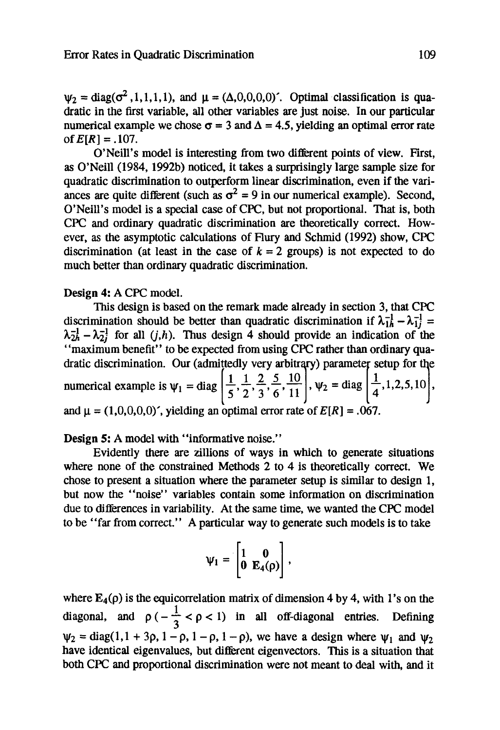$\Psi_2$  = diag( $\sigma^2$ , 1, 1, 1, 1), and  $\mu = (\Delta, 0, 0, 0, 0)$ . Optimal classification is quadratic in the first variable, all other variables are just noise. In our particular numerical example we chose  $\sigma = 3$  and  $\Delta = 4.5$ , yielding an optimal error rate of  $E[R] = .107$ .

O'Neill's model is interesting from two different points of view. First, as O'Neill (1984, 1992b) noticed, it takes a surprisingly large sample size for quadratic discrimination to outperform linear discrimination, even if the variances are quite different (such as  $\sigma^2 = 9$  in our numerical example). Second, O'Neill's model is a special case of CPC, but not proportional. That is, both CPC and ordinary quadratic discrimination are theoretically correct. However, as the asymptotic calculations of Flury and Schmid (1992) show, CPC discrimination (at least in the case of  $k = 2$  groups) is not expected to do much better than ordinary quadratic discrimination.

#### Design 4: A CPC model.

This design is based on the remark made already in section 3, that CPC discrimination should be better than quadratic discrimination if  $\lambda_{1h}^{-1} - \lambda_{1i}^{-1} =$  $\lambda_{2h}^{-1}$  -  $\lambda_{2i}^{-1}$  for all  $(j,h)$ . Thus design 4 should provide an indication of the "maximum benefit" to be expected from using CPC rather than ordinary quadratic discrimination. Our (admittedly very arbitrary) parameter setup for the numerical example is  $\psi_1 = \text{diag} \left[ \frac{1}{6}, \frac{1}{2}, \frac{1}{2}, \frac{1}{2}, \frac{1}{2}, \frac{1}{2} \right]$ ,  $\psi_2 = \text{diag} \left[ \frac{1}{4}, 1, 2, 5, 10 \right]$ , and  $\mu = (1,0,0,0,0)'$ , yielding an optimal error rate of  $E[R] = .067$ .

Design 5: A model with "informative noise."

Evidently there are zillions of ways in which to generate situations where none of the constrained Methods 2 to 4 is theoretically correct. We chose to present a situation where the parameter setup is similar to design 1, but now the "noise" variables contain some information on discrimination due to differences in variability. At the same time, we wanted the CPC model to be *"far* from correct." A particular way to generate such models is to take

$$
\psi_1 = \begin{bmatrix} 1 & 0 \\ 0 & E_4(\rho) \end{bmatrix},
$$

where  $E_4(\rho)$  is the equicorrelation matrix of dimension 4 by 4, with 1's on the diagonal, and  $\rho(-\frac{1}{3} < \rho < 1)$  in all off-diagonal entries. Defining  $\psi_2 = \text{diag}(1, 1 + 3\rho, 1 - \rho, 1 - \rho, 1 - \rho)$ , we have a design where  $\psi_1$  and  $\psi_2$ have identical eigenvalues, but different eigenvectors. This is a situation that both CPC and proportional discrimination were not meant to deal with, and it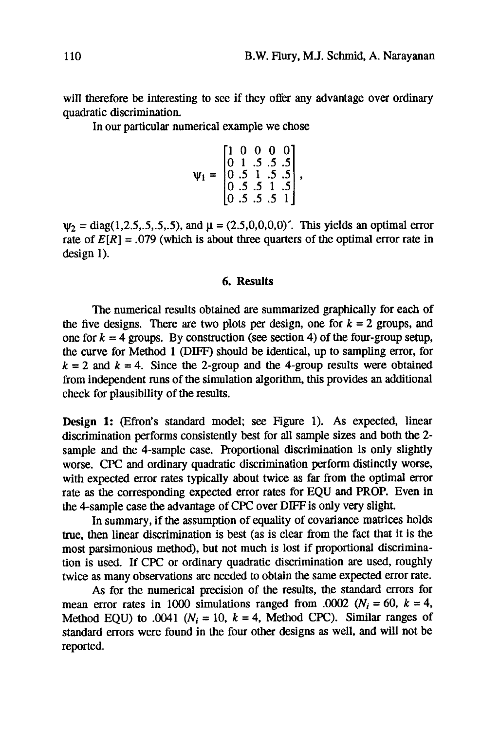will therefore be interesting to see if they offer any advantage over ordinary quadratic discrimination.

In our particular numerical example we chose

$$
\psi_1 = \begin{bmatrix} 1 & 0 & 0 & 0 & 0 \\ 0 & 1 & .5 & .5 & .5 \\ 0 & .5 & 1 & .5 & .5 \\ 0 & .5 & .5 & 1 & .5 \\ 0 & .5 & .5 & .5 & 1 \end{bmatrix},
$$

 $\Psi_2 = diag(1, 2.5, 5, 5, 5, 5)$ , and  $\mu = (2.5, 0, 0, 0, 0)'$ . This yields an optimal error rate of  $E[R] = .079$  (which is about three quarters of the optimal error rate in design 1).

#### **6. Results**

The numerical results obtained are summarized graphically for each of the five designs. There are two plots per design, one for  $k = 2$  groups, and one for  $k = 4$  groups. By construction (see section 4) of the four-group setup, the curve for Method 1 (DIFF) should be identical, up to sampling error, for  $k = 2$  and  $k = 4$ . Since the 2-group and the 4-group results were obtained from independent runs of the simulation algorithm, this provides an additional check for plausibility of the results.

Design 1: (Efron's standard model; see Figure 1). As expected, linear discrimination performs consistently best for all sample sizes and both the 2 sample and the 4-sample case. Proportional discrimination is only slightly worse. CPC and ordinary quadratic discrimination perform distinctly worse, with expected error rates typically about twice as far from the optimal error rate as the corresponding expected error rates for EQU and PROP. Even in the 4-sample case the advantage of CPC over DIFF is only very slight.

In summary, if the assumption of equality of covariance matrices holds true, then linear discrimination is best (as is clear from the fact that it is the most parsimonious method), but not much is lost if proportional discrimination is used. If CPC or ordinary quadratic discrimination are used, roughly twice as many observations are needed to obtain the same expected error rate.

As for the numerical precision of the results, the standard errors for mean error rates in 1000 simulations ranged from .0002  $(N_i = 60, k = 4,$ Method EQU) to .0041 ( $N_i = 10$ ,  $k = 4$ , Method CPC). Similar ranges of standard errors were found in the four other designs as well, and will not be reported.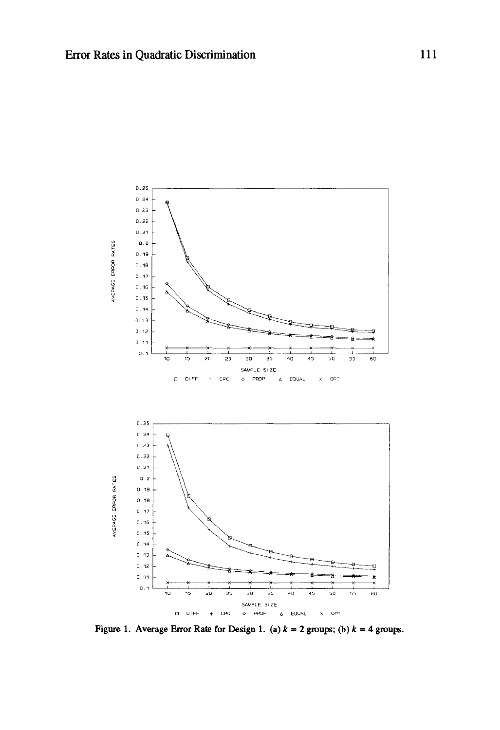

Figure 1. Average Error Rate for Design 1. (a)  $k = 2$  groups; (b)  $k = 4$  groups.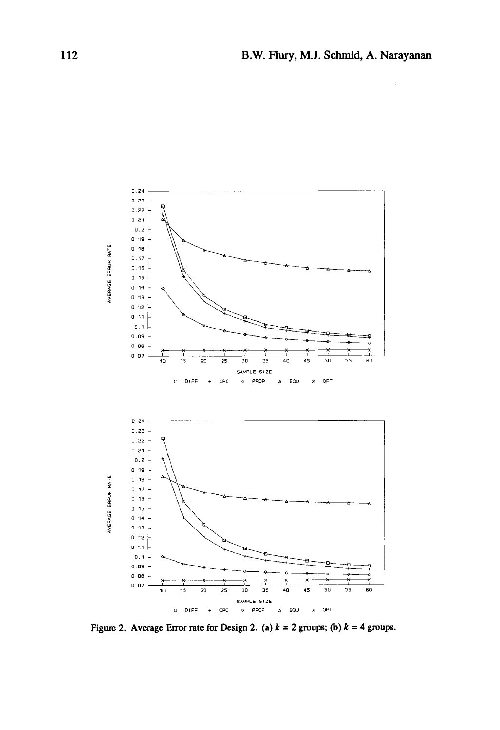

Figure 2. Average Error rate for Design 2. (a)  $k = 2$  groups; (b)  $k = 4$  groups.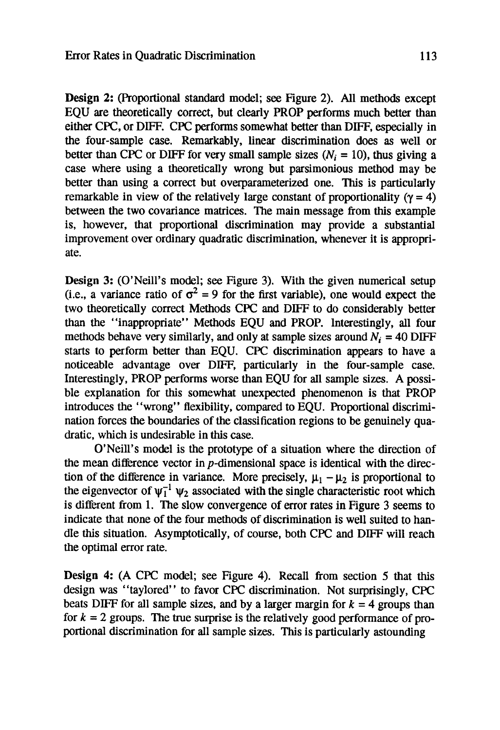**Design 2:** (Proportional standard model; see Figure 2). All methods except EQU are theoretically correct, but clearly PROP performs much better than either CPC, or DIFF. CPC performs somewhat better than DIFF, especially in the four-sample case. Remarkably, linear discrimination does as well or better than CPC or DIFF for very small sample sizes  $(N_i = 10)$ , thus giving a case where using a theoretically wrong but parsimonious method may be better than using a correct but overparameterized one. This is particularly remarkable in view of the relatively large constant of proportionality ( $\gamma = 4$ ) between the two covariance matrices. The main message from this example is, however, that proportional discrimination may provide a substantial improvement over ordinary quadratic discrimination, whenever it is appropriate.

**Design 3:** (O'Neill's model; see Figure 3). With the given numerical setup (i.e., a variance ratio of  $\sigma^2 = 9$  for the first variable), one would expect the two theoretically correct Methods CPC and DIFF to do considerably better than the "inappropriate" Methods EQU and PROP. Interestingly, all four methods behave very similarly, and only at sample sizes around  $N_i = 40$  DIFF starts to perform better than EQU. CPC discrimination appears to have a noticeable advantage over DIFF, particularly in the four-sample case. Interestingly, PROP performs worse than EQU for all sample sizes. A possible explanation for this somewhat unexpected phenomenon is that PROP introduces the "wrong" flexibility, compared to EQU. Proportional discrimination forces the boundaries of the classification regions to be genuinely quadratic, which is undesirable in this case.

O'Neill's model is the prototype of a situation where the direction of the mean difference vector in p-dimensional space is identical with the direction of the difference in variance. More precisely,  $\mu_1 - \mu_2$  is proportional to the eigenvector of  $\psi_1^{-1} \psi_2$  associated with the single characteristic root which is different from 1. The slow convergence of error rates in Figure 3 seems to indicate that none of the four methods of discrimination is well suited to handle this situation. Asymptotically, of course, both CPC and DIFF will reach the optimal error rate.

**Design** 4: (A CPC model; see Figure 4). Recall from section 5 that this design was "taylored" to favor CPC discrimination. Not surprisingly, CPC beats DIFF for all sample sizes, and by a larger margin for  $k = 4$  groups than for  $k = 2$  groups. The true surprise is the relatively good performance of proportional discrimination for all sample sizes. This is particularly astounding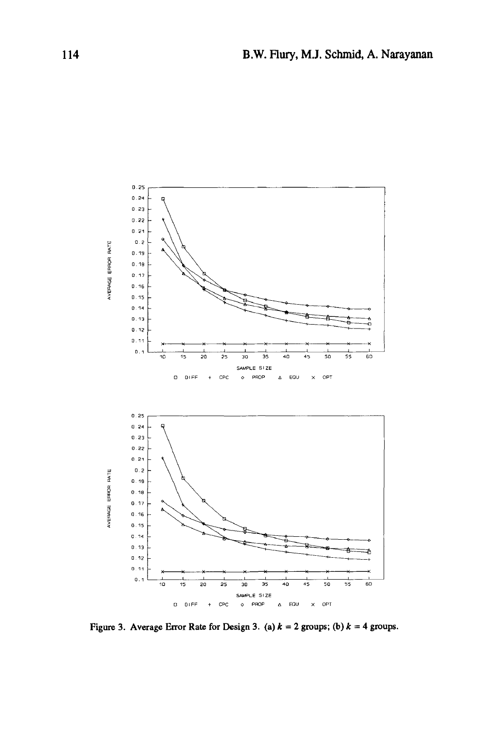

Figure 3. Average Error Rate for Design 3. (a)  $k = 2$  groups; (b)  $k = 4$  groups.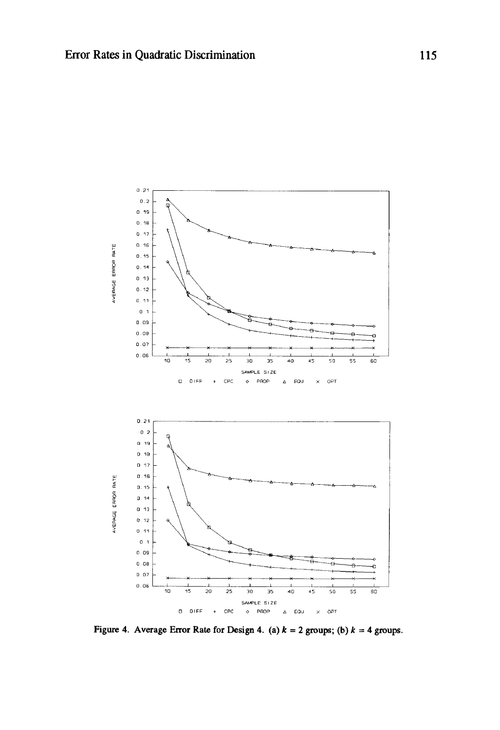

Figure 4. Average Error Rate for Design 4. (a)  $k = 2$  groups; (b)  $k = 4$  groups.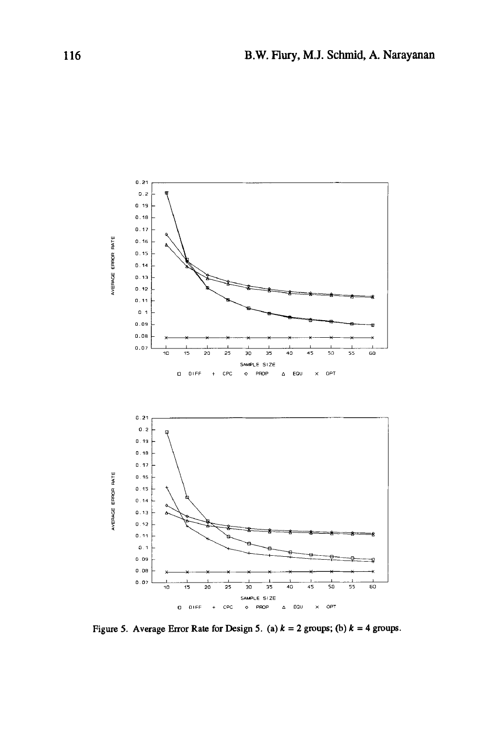

Figure 5. Average Error Rate for Design 5. (a)  $k = 2$  groups; (b)  $k = 4$  groups.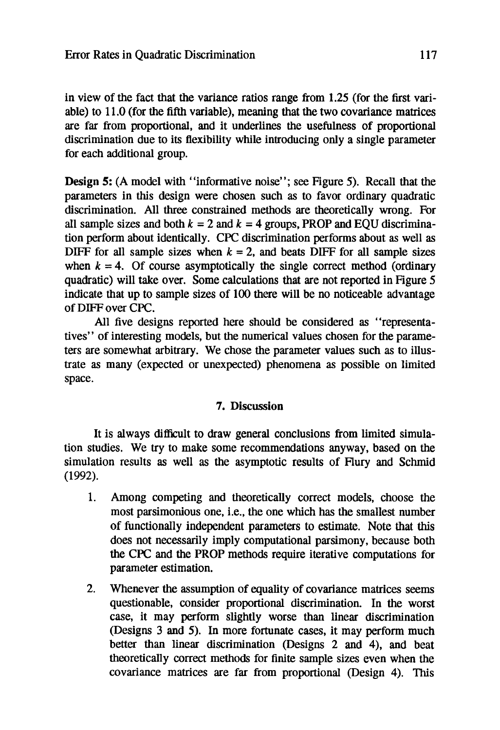in view of the fact that the variance ratios range from 1.25 (for the first variable) to 11.0 (for the fifth variable), meaning that the two covariance matrices are far from proportional, and it underlines the usefulness of proportional discrimination due to its flexibility while introducing only a single parameter for each additional group.

Design 5: (A model with "informative noise"; see Figure 5). Recall that the parameters in this design were chosen such as to favor ordinary quadratic discrimination. All three constrained methods are theoretically wrong. For all sample sizes and both  $k = 2$  and  $k = 4$  groups, PROP and EQU discrimination perform about identically. CPC discrimination performs about as well as DIFF for all sample sizes when  $k = 2$ , and beats DIFF for all sample sizes when  $k = 4$ . Of course asymptotically the single correct method (ordinary quadratic) will take over. Some calculations that are not reported in Figure 5 indicate that up to sample sizes of 100 there will be no noticeable advantage of DIFF over CPC.

All five designs reported here should be considered as "representatives" of interesting models, but the numerical values chosen for the parameters are somewhat arbitrary. We chose the parameter values such as to illustrate as many (expected or unexpected) phenomena as possible on limited space.

# **7. Discussion**

It is always difficult to draw general conclusions from limited simulation studies. We try to make some recommendations anyway, based on the simulation results as well as the asymptotic results of Flury and Schmid (1992).

- . Among competing and theoretically correct models, choose the most parsimonious one, i.e., the one which has the smallest number of functionally independent parameters to estimate. Note that this does not necessarily imply computational parsimony, because both the CPC and the PROP methods require iterafive computations for parameter estimation.
- 2. Whenever the assumption of equality of covariance matrices seems questionable, consider proportional discrimination. In the worst case, it may perform slightly worse than linear discrimination (Designs 3 and 5). In more fortunate cases, it may perform much better than linear discrimination (Designs 2 and 4), and beat theoretically correct methods for finite sample sizes even when the covariance matrices are far from proportional (Design 4). This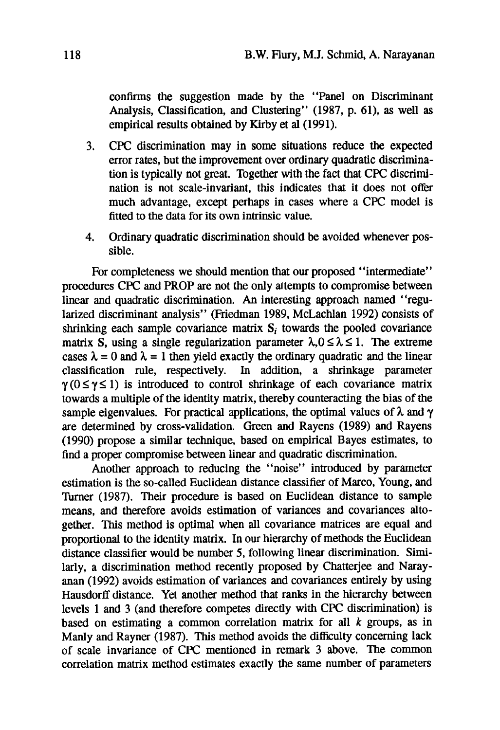confirms the suggestion made by the "Panel on Discriminant Analysis, Classification, and Clustering" (1987, p. 61), as well as empirical results obtained by Kirby et al (1991).

- 3. CPC discrimination may in some situations reduce the expected error rates, but the improvement over ordinary quadratic discrimination is typically not great. Together with the fact that CPC discrimination is not scale-invariant, this indicates that it does not offer much advantage, except perhaps in cases where a CPC model is fitted to the data for its own intrinsic value.
- 4. Ordinary quadratic discrimination should be avoided whenever possible.

For completeness we should mention that our proposed "intermediate" procedures CPC and PROP are not the only attempts to compromise between linear and quadratic discrimination. An interesting approach named "regularized discriminant analysis" (Friedman 1989, McLachlan 1992) consists of shrinking each sample covariance matrix  $S_i$  towards the pooled covariance matrix S, using a single regularization parameter  $\lambda, 0 \le \lambda \le 1$ . The extreme cases  $\lambda = 0$  and  $\lambda = 1$  then yield exactly the ordinary quadratic and the linear classification rule, respectively. In addition, a shrinkage parameter  $\gamma$ ( $0 \le \gamma \le 1$ ) is introduced to control shrinkage of each covariance matrix towards a multiple of the identity matrix, thereby counteracting the bias of the sample eigenvalues. For practical applications, the optimal values of  $\lambda$  and  $\gamma$ are determined by cross-validation. Green and Rayens (1989) and Rayens (1990) propose a similar technique, based on empirical Bayes estimates, to find a proper compromise between linear and quadratic discrimination.

Another approach to reducing the "noise" introduced by parameter estimation is the so-called Euclidean distance classifier of Marco, Young, and Turner (1987). Their procedure is based on Euclidean distance to sample means, and therefore avoids estimation of variances and covariances altogether. This method is optimal when all covariance matrices are equal and proportional to the identity matrix. In our hierarchy of methods the Euclidean distance classifier would be number 5, following linear discrimination. Similarly, a discrimination method recently proposed by Chatterjee and Narayanan (1992) avoids estimation of variances and covariances entirely by using Hausdorff distance. Yet another method that ranks in the hierarchy between levels 1 and 3 (and therefore competes directly with CPC discrimination) is based on estimating a common correlation matrix for all  $k$  groups, as in Manly and Rayner (1987). This method avoids the difficulty concerning lack of scale invariance of CPC mentioned in remark 3 above. The common correlation matrix method estimates exactly the same number of parameters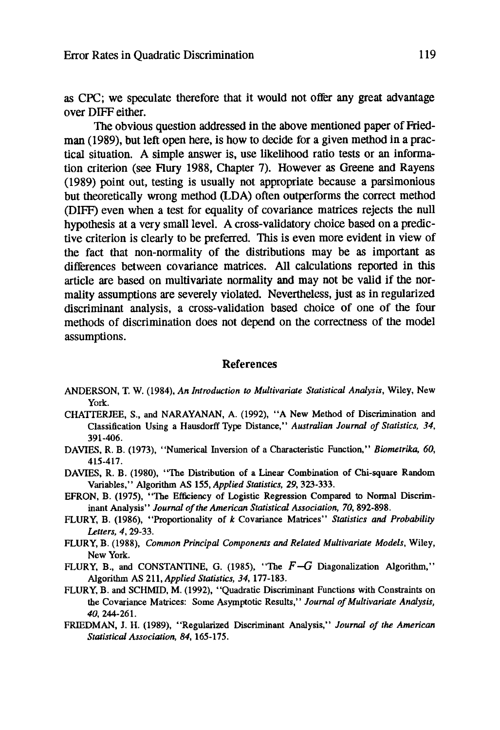**as CPC; we speculate therefore that it would not offer any great advantage over DIFF either.** 

**The obvious question addressed in the above mentioned paper of Friedman (1989), but left open here, is how to decide for a given method in a practical situation. A simple answer is, use likelihood ratio tests or an information criterion (see Hury 1988, Chapter 7). However as Greene and Rayens (1989) point out, testing is usually not appropriate because a parsimonious but theoretically wrong method (LDA) often outperforms the correct method (DIFF) even when a test for equality of covafiance matrices rejects the null hypothesis at a very small level. A cross-validatory choice based on a predictive criterion is clearly to be preferred. This is even more evident in view of the fact that non-normality of the distributions may be as important as differences between covariance matrices. All calculations reported in this article are based on multivariate normality and may not be valid if the normality assumptions are severely violated. Nevertheless, just as in regularized discriminant analysis, a cross-validation based choice of one of the four methods of discrimination does not depend on the correctness of the model assumptions.** 

#### **References**

- ANDERSON, T. W. (1984), *An Introduction to Multivariate Statistical Analysis,* **Wiley, New**  York.
- CHATrERJEE, S., and NARAYANAN, A. (1992), "A **New Method of Discrimination and Classification** Using a Hausdorff Type Distance," *Australian Journal of Statistics, 34,*  391-406.
- DAVIES, R. B. (1973), **"Numerical Inversion of a Characteristic** Function," *Biometrika, 60,*  415-417.
- DAVIES, R. B. (1980), "The **Distribution of** a Linear **Combination of Chi-square Random**  Variables," Algorithm AS 155, *Applied Statistics, 29,* 323-333.
- EFRON, B. (1975), "The **Efficiency of Logistic Regression Compared to Normal** Discriminant Analysis" *Journal of the American Statistical Association, 70,* 892-898.
- FLURY, B. (1986), **"Proportionality of k Covariance Matrices"** *Statistics and Probability Letters, 4,* 29-33.
- FLURY, B. (1988), *Common Principal Components and Related Multivariate Models,* Wiley, **New** York.
- FLURY, B., and CONSTANTINE, G. (1985), "The  $F-G$  Diagonalization Algorithm," Algorithm AS 211, *Applied Statistics, 34,* 177-183.
- FLURY, B. and SCHMID, M. (1992), "Quadratic Discriminant **Functions with Constraints on the Covariance Matrices: Some Asymptotic Results,"** *Journal of Multivariate Analysis, 40,* 244-261.
- FRIEDMAN, J. H. (1989), "Regularized Discriminant Analysis," *Journal of the American Statistical Association, 84,* 165-175.